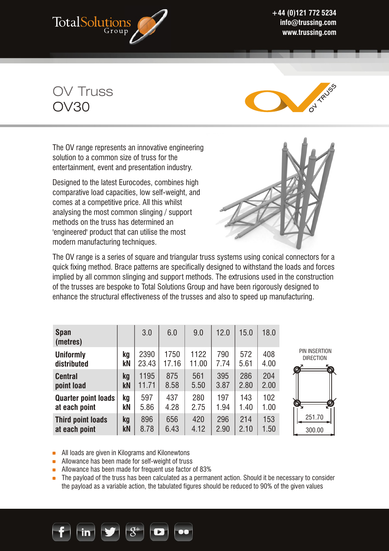

**+44 (0)121 772 5234 info@trussing.com www.trussing.com** 

OV Truss OV30



The OV range represents an innovative engineering solution to a common size of truss for the entertainment, event and presentation industry.

Designed to the latest Eurocodes, combines high comparative load capacities, low self-weight, and comes at a competitive price. All this whilst analysing the most common slinging / support methods on the truss has determined an 'engineered' product that can utilise the most modern manufacturing techniques.



The OV range is a series of square and triangular truss systems using conical connectors for a quick fixing method. Brace patterns are specifically designed to withstand the loads and forces implied by all common slinging and support methods. The extrusions used in the construction of the trusses are bespoke to Total Solutions Group and have been rigorously designed to enhance the structural effectiveness of the trusses and also to speed up manufacturing.

| <b>Span</b><br>(metres)         |          | 3.0           | 6.0           | 9.0           | 12.0        | 15.0        | 18.0        |                                                         |
|---------------------------------|----------|---------------|---------------|---------------|-------------|-------------|-------------|---------------------------------------------------------|
| <b>Uniformly</b><br>distributed | kq<br>kN | 2390<br>23.43 | 1750<br>17.16 | 1122<br>11.00 | 790<br>7.74 | 572<br>5.61 | 408<br>4.00 | PIN INSERTION<br><b>DIRECTION</b><br>$\mathcal{O}$<br>Ó |
| <b>Central</b>                  | kq       | 1195          | 875           | 561           | 395         | 286         | 204         |                                                         |
| point load                      | kN       | 11.71         | 8.58          | 5.50          | 3.87        | 2.80        | 2.00        |                                                         |
| <b>Quarter point loads</b>      | ka       | 597           | 437           | 280           | 197         | 143         | 102         | $\bullet$                                               |
| at each point                   | kΝ       | 5.86          | 4.28          | 2.75          | 1.94        | 1.40        | 1.00        |                                                         |
| <b>Third point loads</b>        | kq       | 896           | 656           | 420           | 296         | 214         | 153         | 251.70                                                  |
| at each point                   | kN       | 8.78          | 6.43          | 4.12          | 2.90        | 2.10        | 1.50        | 300.00                                                  |

300.00

**All loads are given in Kilograms and Kilonewtons** 

Allowance has been made for self-weight of truss

- Allowance has been made for frequent use factor of 83%
- **The payload of the truss has been calculated as a permanent action. Should it be necessary to consider** the payload as a variable action, the tabulated figures should be reduced to 90% of the given values